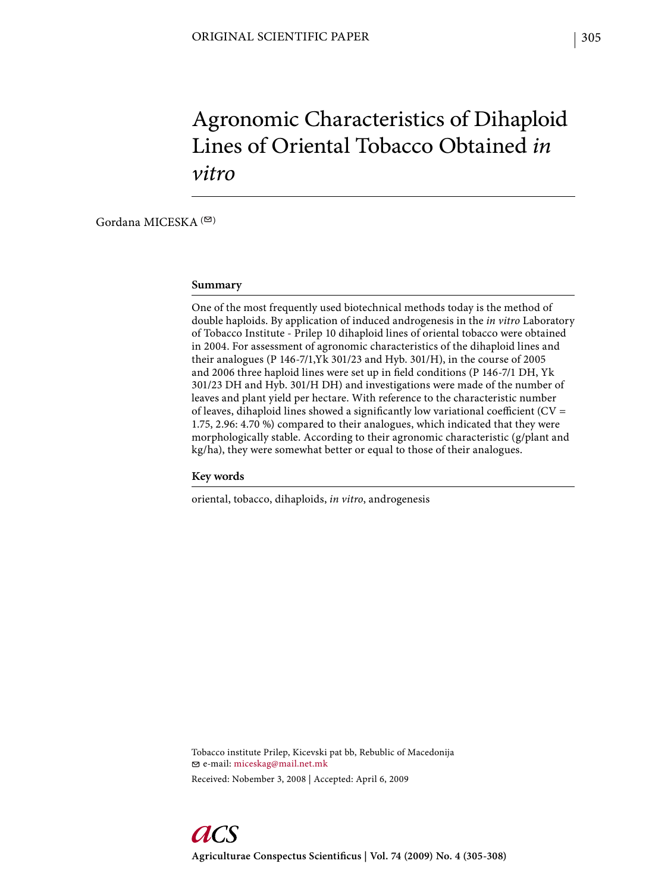# Agronomic Characteristics of Dihaploid Lines of Oriental Tobacco Obtained *in vitro*

Gordana MICESKA  $($ 

#### **Summary**

One of the most frequently used biotechnical methods today is the method of double haploids. By application of induced androgenesis in the *in vitro* Laboratory of Tobacco Institute - Prilep 10 dihaploid lines of oriental tobacco were obtained in 2004. For assessment of agronomic characteristics of the dihaploid lines and their analogues (P 146-7/1,Yk 301/23 and Hyb. 301/H), in the course of 2005 and 2006 three haploid lines were set up in field conditions (P 146-7/1 DH, Yk 301/23 DH and Hyb. 301/H DH) and investigations were made of the number of leaves and plant yield per hectare. With reference to the characteristic number of leaves, dihaploid lines showed a significantly low variational coefficient ( $CV =$ 1.75, 2.96: 4.70 %) compared to their analogues, which indicated that they were morphologically stable. According to their agronomic characteristic (g/plant and kg/ha), they were somewhat better or equal to those of their analogues.

## **Key words**

oriental, tobacco, dihaploids, *in vitro*, androgenesis

Tobacco institute Prilep, Kicevski pat bb, Rebublic of Macedonija e-mail: miceskag@mail.net.mk Received: Nobember 3, 2008 | Accepted: April 6, 2009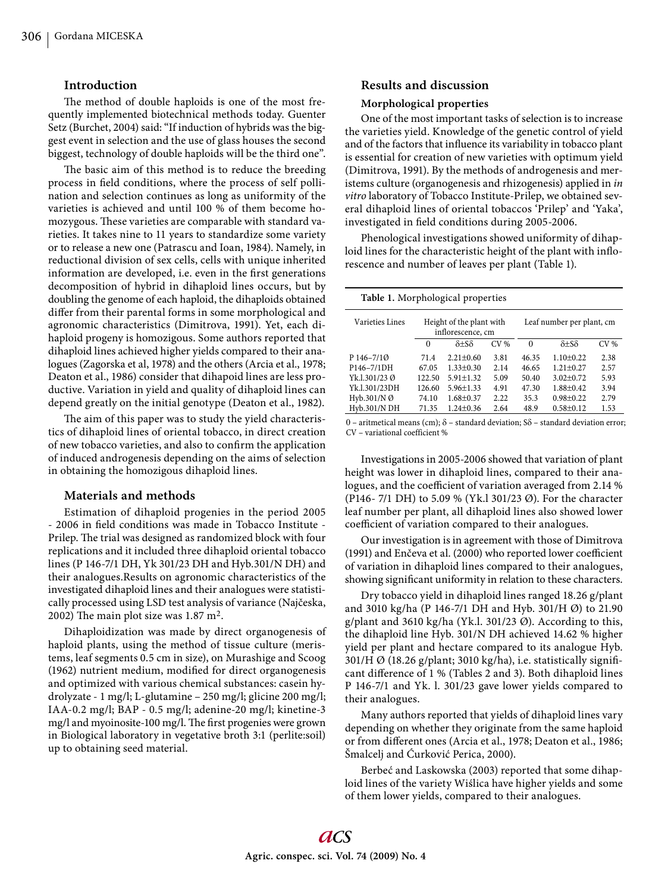## **Introduction**

The method of double haploids is one of the most frequently implemented biotechnical methods today. Guenter Setz (Burchet, 2004) said: "If induction of hybrids was the biggest event in selection and the use of glass houses the second biggest, technology of double haploids will be the third one".

The basic aim of this method is to reduce the breeding process in field conditions, where the process of self pollination and selection continues as long as uniformity of the varieties is achieved and until 100 % of them become homozygous. These varieties are comparable with standard varieties. It takes nine to 11 years to standardize some variety or to release a new one (Patrascu and Ioan, 1984). Namely, in reductional division of sex cells, cells with unique inherited information are developed, i.e. even in the first generations decomposition of hybrid in dihaploid lines occurs, but by doubling the genome of each haploid, the dihaploids obtained differ from their parental forms in some morphological and agronomic characteristics (Dimitrova, 1991). Yet, each dihaploid progeny is homozigous. Some authors reported that dihaploid lines achieved higher yields compared to their analogues (Zagorska et al, 1978) and the others (Arcia et al., 1978; Deaton et al., 1986) consider that dihapoid lines are less productive. Variation in yield and quality of dihaploid lines can depend greatly on the initial genotype (Deaton et al., 1982).

The aim of this paper was to study the yield characteristics of dihaploid lines of oriental tobacco, in direct creation of new tobacco varieties, and also to confirm the application of induced androgenesis depending on the aims of selection in obtaining the homozigous dihaploid lines.

# **Materials and methods**

Estimation of dihaploid progenies in the period 2005 - 2006 in field conditions was made in Tobacco Institute -Prilep. The trial was designed as randomized block with four replications and it included three dihaploid oriental tobacco lines (P 146-7/1 DH, Yk 301/23 DH and Hyb.301/N DH) and their analogues.Results on agronomic characteristics of the investigated dihaploid lines and their analogues were statistically processed using LSD test analysis of variance (Najčeska, 2002) The main plot size was  $1.87 \text{ m}^2$ .

Dihaploidization was made by direct organogenesis of haploid plants, using the method of tissue culture (meristems, leaf segments 0.5 cm in size), on Murashige and Scoog (1962) nutrient medium, modified for direct organogenesis and optimized with various chemical substances: casein hydrolyzate - 1 mg/l; L-glutamine – 250 mg/l; glicine 200 mg/l; IAA-0.2 mg/l; BAP - 0.5 mg/l; adenine-20 mg/l; kinetine-3 mg/l and myoinosite-100 mg/l. The first progenies were grown in Biological laboratory in vegetative broth 3:1 (perlite:soil) up to obtaining seed material.

#### **Results and discussion**

## **Morphological properties**

One of the most important tasks of selection is to increase the varieties yield. Knowledge of the genetic control of yield and of the factors that influence its variability in tobacco plant is essential for creation of new varieties with optimum yield (Dimitrova, 1991). By the methods of androgenesis and meristems culture (organogenesis and rhizogenesis) applied in *in vitro* laboratory of Tobacco Institute-Prilep, we obtained several dihaploid lines of oriental tobaccos 'Prilep' and 'Yaka', investigated in field conditions during 2005-2006.

Phenological investigations showed uniformity of dihaploid lines for the characteristic height of the plant with inflorescence and number of leaves per plant (Table 1).

**Table 1.** Morphological properties

| Varieties Lines       | Height of the plant with<br>inflorescence, cm |                    |                 |          | Leaf number per plant, cm |                 |  |
|-----------------------|-----------------------------------------------|--------------------|-----------------|----------|---------------------------|-----------------|--|
|                       | $\Omega$                                      | $\delta + S\delta$ | CV <sub>6</sub> | $\theta$ | $\delta + S\delta$        | CV <sub>6</sub> |  |
| $P146 - 7/10$         | 71.4                                          | $2.21 + 0.60$      | 3.81            | 46.35    | $1.10+0.22$               | 2.38            |  |
| P146-7/1DH            | 67.05                                         | $1.33 + 0.30$      | 2.14            | 46.65    | $1.21 + 0.27$             | 2.57            |  |
| Yk.1.301/23 Ø         | 122.50                                        | $5.91 + 1.32$      | 5.09            | 50.40    | $3.02+0.72$               | 5.93            |  |
| Yk.1.301/23DH         | 126.60                                        | $5.96 + 1.33$      | 4.91            | 47.30    | $1.88 + 0.42$             | 3.94            |  |
| Hyb.301/N $\emptyset$ | 74.10                                         | $1.68 + 0.37$      | 2.22            | 35.3     | $0.98 \pm 0.22$           | 2.79            |  |
| Hyb.301/N DH          | 71.35                                         | $1.24 + 0.36$      | 2.64            | 48.9     | $0.58 \pm 0.12$           | 1.53            |  |

0 – aritmetical means (cm);  $\delta$  – standard deviation; S $\delta$  – standard deviation error; CV – variational coefficient %

Investigations in 2005-2006 showed that variation of plant height was lower in dihaploid lines, compared to their analogues, and the coefficient of variation averaged from 2.14 % (P146- 7/1 DH) to 5.09 % (Yk.l 301/23 Ø). For the character leaf number per plant, all dihaploid lines also showed lower coefficient of variation compared to their analogues.

Our investigation is in agreement with those of Dimitrova (1991) and Enčeva et al. (2000) who reported lower coefficient of variation in dihaploid lines compared to their analogues, showing significant uniformity in relation to these characters.

Dry tobacco yield in dihaploid lines ranged 18.26 g/plant and 3010 kg/ha (P 146-7/1 DH and Hyb. 301/H Ø) to 21.90 g/plant and 3610 kg/ha (Yk.l. 301/23 Ø). According to this, the dihaploid line Hyb. 301/N DH achieved 14.62 % higher yield per plant and hectare compared to its analogue Hyb. 301/H Ø (18.26 g/plant; 3010 kg/ha), i.e. statistically significant difference of 1 % (Tables 2 and 3). Both dihaploid lines P 146-7/1 and Yk. l. 301/23 gave lower yields compared to their analogues.

Many authors reported that yields of dihaploid lines vary depending on whether they originate from the same haploid or from different ones (Arcia et al., 1978; Deaton et al., 1986; Šmalcelj and Ćurković Perica, 2000).

Berbeć and Laskowska (2003) reported that some dihaploid lines of the variety Wiślica have higher yields and some of them lower yields, compared to their analogues.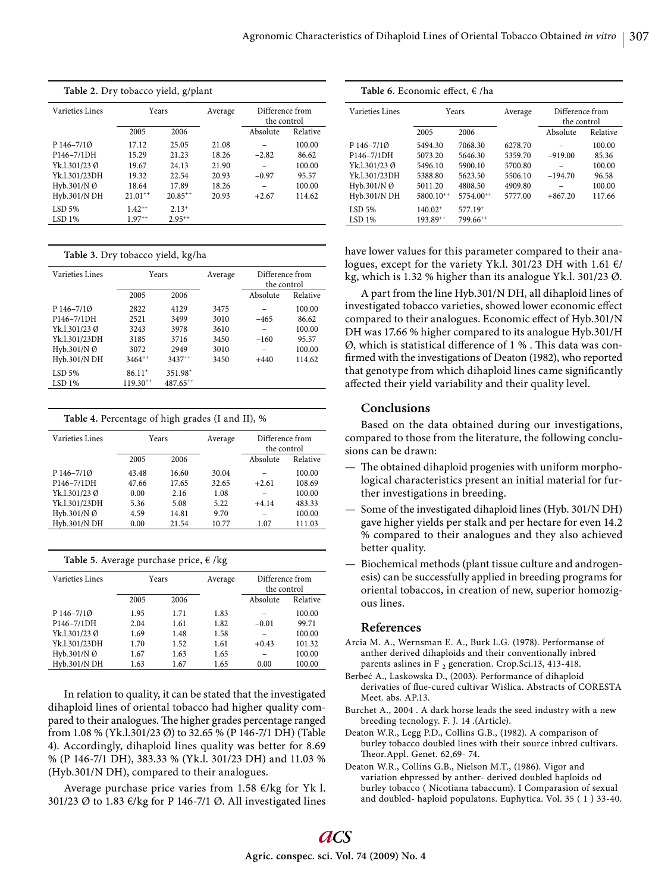| Table 2. Dry tobacco yield, g/plant |              |                                           |       |                 |          | <b>Table 6.</b> Economic effect, € /ha |                |                       |
|-------------------------------------|--------------|-------------------------------------------|-------|-----------------|----------|----------------------------------------|----------------|-----------------------|
| Varieties Lines<br>Years            |              | Difference from<br>Average<br>the control |       | Varieties Lines | Years    |                                        |                |                       |
|                                     | 2005         | 2006                                      |       | Absolute        | Relative |                                        | 2005           | 2006                  |
| $P146 - 7/10$                       | 17.12        | 25.05                                     | 21.08 | -               | 100.00   | $P146 - 7/10$                          | 5494.30        | 7068.30               |
| P146-7/1DH                          | 15.29        | 21.23                                     | 18.26 | $-2.82$         | 86.62    | P146-7/1DH                             | 5073.20        | 5646.30               |
| Yk.1.301/23 Ø                       | 19.67        | 24.13                                     | 21.90 | -               | 100.00   | Yk.1.301/23 Ø                          | 5496.10        | 5900.10               |
| Yk.1.301/23DH                       | 19.32        | 22.54                                     | 20.93 | $-0.97$         | 95.57    | Yk.1.301/23DH                          | 5388.80        | 5623.50               |
| Hyb.301/N $\emptyset$               | 18.64        | 17.89                                     | 18.26 | -               | 100.00   | Hyb.301/N $\emptyset$                  | 5011.20        | 4808.50               |
| Hyb.301/N DH                        | $21.01^{++}$ | $20.85^{++}$                              | 20.93 | $+2.67$         | 114.62   | Hyb.301/N DH                           | $5800.10^{++}$ | 5754.00**             |
| $LSD$ 5%                            | $1.42^{++}$  | $2.13+$                                   |       |                 |          | $LSD$ 5%                               | $140.02^+$     | $577.19$ <sup>+</sup> |
| LSD <sub>1%</sub>                   | $1.97^{++}$  | $2.95***$                                 |       |                 |          | LSD <sub>1%</sub>                      | $193.89^{++}$  | $799.66^{++}$         |
|                                     |              |                                           |       |                 |          |                                        |                |                       |

|  |  | Table 3. Dry tobacco yield, kg/ha |  |  |
|--|--|-----------------------------------|--|--|
|--|--|-----------------------------------|--|--|

| Varieties Lines   | Years         |                     | Average | Difference from |          |
|-------------------|---------------|---------------------|---------|-----------------|----------|
|                   |               |                     |         | the control     |          |
|                   | 2005          | 2006                |         | Absolute        | Relative |
| P 146-7/10        | 2822          | 4129                | 3475    |                 | 100.00   |
| P146-7/1DH        | 2521          | 3499                | 3010    | -465            | 86.62    |
| Yk.1.301/23 Ø     | 3243          | 3978                | 3610    |                 | 100.00   |
| Yk.1.301/23DH     | 3185          | 3716                | 3450    | $-160$          | 95.57    |
| Hyb.301/N Ø       | 3072          | 2949                | 3010    |                 | 100.00   |
| Hyb.301/N DH      | $3464^{++}$   | $3437^{++}$         | 3450    | $+440$          | 114.62   |
| $LSD$ 5%          | $86.11^{+}$   | 351.98 <sup>+</sup> |         |                 |          |
| LSD <sub>1%</sub> | $119.30^{++}$ | $487.65^{++}$       |         |                 |          |

**Table 4.** Percentage of high grades (I and II), %

| <b>Varieties Lines</b> | Years |       | Average | Difference from<br>the control |          |
|------------------------|-------|-------|---------|--------------------------------|----------|
|                        | 2005  | 2006  |         | Absolute                       | Relative |
| P 146-7/10             | 43.48 | 16.60 | 30.04   |                                | 100.00   |
| P146-7/1DH             | 47.66 | 17.65 | 32.65   | $+2.61$                        | 108.69   |
| Yk.1.301/23 Ø          | 0.00  | 2.16  | 1.08    |                                | 100.00   |
| Yk.1.301/23DH          | 5.36  | 5.08  | 5.22    | $+4.14$                        | 483.33   |
| Hyb.301/N Ø            | 4.59  | 14.81 | 9.70    |                                | 100.00   |
| Hyb.301/N DH           | 0.00  | 21.54 | 10.77   | 1.07                           | 111.03   |

| Table 5. Average purchase price, € /kg |  |  |  |
|----------------------------------------|--|--|--|
|----------------------------------------|--|--|--|

| Varieties Lines | Years |      | Average | Difference from<br>the control |          |
|-----------------|-------|------|---------|--------------------------------|----------|
|                 | 2005  | 2006 |         | Absolute                       | Relative |
| P 146-7/10      | 1.95  | 1.71 | 1.83    |                                | 100.00   |
| P146-7/1DH      | 2.04  | 1.61 | 1.82    | $-0.01$                        | 99.71    |
| Yk.1.301/23 Ø   | 1.69  | 1.48 | 1.58    |                                | 100.00   |
| Yk.1.301/23DH   | 1.70  | 1.52 | 1.61    | $+0.43$                        | 101.32   |
| Hyb.301/N Ø     | 1.67  | 1.63 | 1.65    |                                | 100.00   |
| Hyb.301/N DH    | 1.63  | 1.67 | 1.65    | 0.00                           | 100.00   |

In relation to quality, it can be stated that the investigated dihaploid lines of oriental tobacco had higher quality compared to their analogues. The higher grades percentage ranged from 1.08 % (Yk.l.301/23 Ø) to 32.65 % (P 146-7/1 DH) (Table 4). Accordingly, dihaploid lines quality was better for 8.69 % (P 146-7/1 DH), 383.33 % (Yk.l. 301/23 DH) and 11.03 % (Hyb.301/N DH), compared to their analogues.

Average purchase price varies from 1.58  $\epsilon$ /kg for Yk l. 301/23 Ø to 1.83 €/kg for P 146-7/1 Ø. All investigated lines

| <b>Table 6.</b> Economic effect, €/ha |                |                       |         |                                |          |  |  |
|---------------------------------------|----------------|-----------------------|---------|--------------------------------|----------|--|--|
| Varieties Lines                       | Years          |                       | Average | Difference from<br>the control |          |  |  |
|                                       | 2005           | 2006                  |         | Absolute                       | Relative |  |  |
| P 146-7/10                            | 5494.30        | 7068.30               | 6278.70 |                                | 100.00   |  |  |
| P146-7/1DH                            | 5073.20        | 5646.30               | 5359.70 | $-919.00$                      | 85.36    |  |  |
| Yk.1.301/230                          | 5496.10        | 5900.10               | 5700.80 |                                | 100.00   |  |  |
| Yk.1.301/23DH                         | 5388.80        | 5623.50               | 5506.10 | $-194.70$                      | 96.58    |  |  |
| Hyb.301/N Ø                           | 5011.20        | 4808.50               | 4909.80 |                                | 100.00   |  |  |
| Hyb.301/N DH                          | $5800.10^{++}$ | $5754.00^{++}$        | 5777.00 | $+867.20$                      | 117.66   |  |  |
| $LSD$ 5%                              | $140.02^+$     | $577.19$ <sup>+</sup> |         |                                |          |  |  |
| LSD <sub>1%</sub>                     | $193.89^{++}$  | $799.66^{++}$         |         |                                |          |  |  |

have lower values for this parameter compared to their analogues, except for the variety Yk.l. 301/23 DH with 1.61  $\epsilon$ / kg, which is 1.32 % higher than its analogue Yk.l. 301/23 Ø.

A part from the line Hyb.301/N DH, all dihaploid lines of investigated tobacco varieties, showed lower economic effect compared to their analogues. Economic effect of Hyb.301/N DH was 17.66 % higher compared to its analogue Hyb.301/H  $\varnothing$ , which is statistical difference of 1 %. This data was confirmed with the investigations of Deaton (1982), who reported that genotype from which dihaploid lines came significantly affected their yield variability and their quality level.

# **Conclusions**

Based on the data obtained during our investigations, compared to those from the literature, the following conclusions can be drawn:

- $-$  The obtained dihaploid progenies with uniform morphological characteristics present an initial material for further investigations in breeding.
- Some of the investigated dihaploid lines (Hyb. 301/N DH) gave higher yields per stalk and per hectare for even 14.2 % compared to their analogues and they also achieved better quality.
- Biochemical methods (plant tissue culture and androgenesis) can be successfully applied in breeding programs for oriental tobaccos, in creation of new, superior homozigous lines.

## **References**

- Arcia M. A., Wernsman E. A., Burk L.G. (1978). Performanse of anther derived dihaploids and their conventionally inbred parents aslines in F<sub>2</sub> generation. Crop.Sci.13, 413-418.
- Berbeć A., Laskowska D., (2003). Performance of dihaploid derivaties of flue-cured cultivar Wiślica. Abstracts of CORESTA Meet. abs. AP.13.
- Burchet A., 2004 . A dark horse leads the seed industry with a new breeding tecnology. F. J. 14 .(Article).
- Deaton W.R., Legg P.D., Collins G.B., (1982). A comparison of burley tobacco doubled lines with their source inbred cultivars. Theor.Appl. Genet. 62,69-74.
- Deaton W.R., Collins G.B., Nielson M.T., (1986). Vigor and variation ehpressed by anther- derived doubled haploids od burley tobacco ( Nicotiana tabaccum). I Comparasion of sexual and doubled- haploid populatons. Euphytica. Vol. 35 ( 1 ) 33-40.